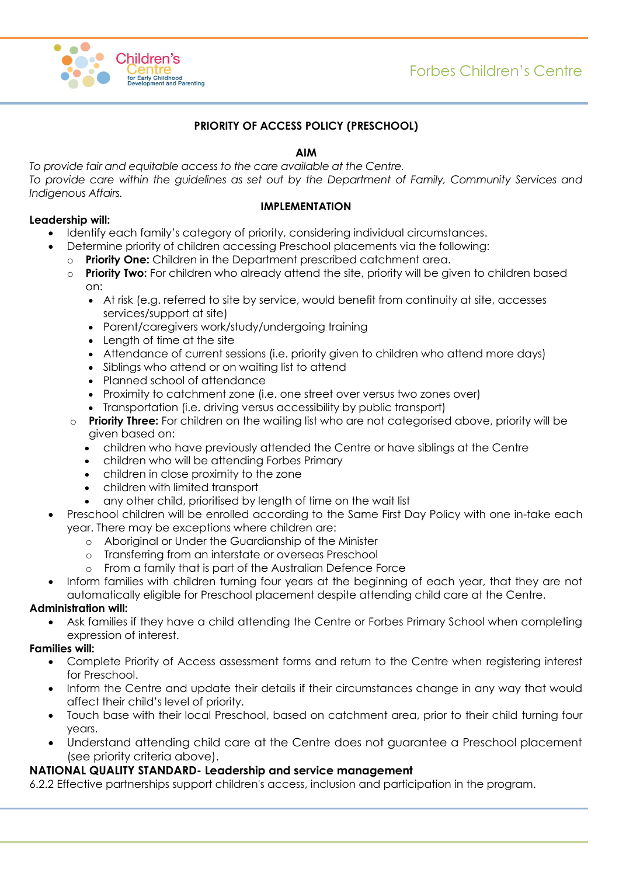

# **PRIORITY OF ACCESS POLICY (PRESCHOOL)**

### **AIM**

*To provide fair and equitable access to the care available at the Centre. To provide care within the guidelines as set out by the Department of Family, Community Services and Indigenous Affairs.*

#### **IMPLEMENTATION**

### **Leadership will:**

- Identify each family's category of priority, considering individual circumstances.
- Determine priority of children accessing Preschool placements via the following:
	- o **Priority One:** Children in the Department prescribed catchment area.
	- o **Priority Two:** For children who already attend the site, priority will be given to children based on:
		- At risk (e.g. referred to site by service, would benefit from continuity at site, accesses services/support at site)
		- Parent/caregivers work/study/undergoing training
		- Length of time at the site
		- Attendance of current sessions (i.e. priority given to children who attend more days)
		- Siblings who attend or on waiting list to attend
		- Planned school of attendance
		- Proximity to catchment zone (i.e. one street over versus two zones over)
		- Transportation (i.e. driving versus accessibility by public transport)
	- o **Priority Three:** For children on the waiting list who are not categorised above, priority will be given based on:
		- children who have previously attended the Centre or have siblings at the Centre
		- children who will be attending Forbes Primary
		- children in close proximity to the zone
		- children with limited transport
		- any other child, prioritised by length of time on the wait list
- Preschool children will be enrolled according to the Same First Day Policy with one in-take each year. There may be exceptions where children are:
	- o Aboriginal or Under the Guardianship of the Minister
	- o Transferring from an interstate or overseas Preschool
	- o From a family that is part of the Australian Defence Force
- Inform families with children turning four years at the beginning of each year, that they are not automatically eligible for Preschool placement despite attending child care at the Centre.

## **Administration will:**

 Ask families if they have a child attending the Centre or Forbes Primary School when completing expression of interest.

#### **Families will:**

- Complete Priority of Access assessment forms and return to the Centre when registering interest for Preschool.
- Inform the Centre and update their details if their circumstances change in any way that would affect their child's level of priority.
- Touch base with their local Preschool, based on catchment area, prior to their child turning four years.
- Understand attending child care at the Centre does not guarantee a Preschool placement (see priority criteria above).

## **NATIONAL QUALITY STANDARD- Leadership and service management**

6.2.2 Effective partnerships support children's access, inclusion and participation in the program.